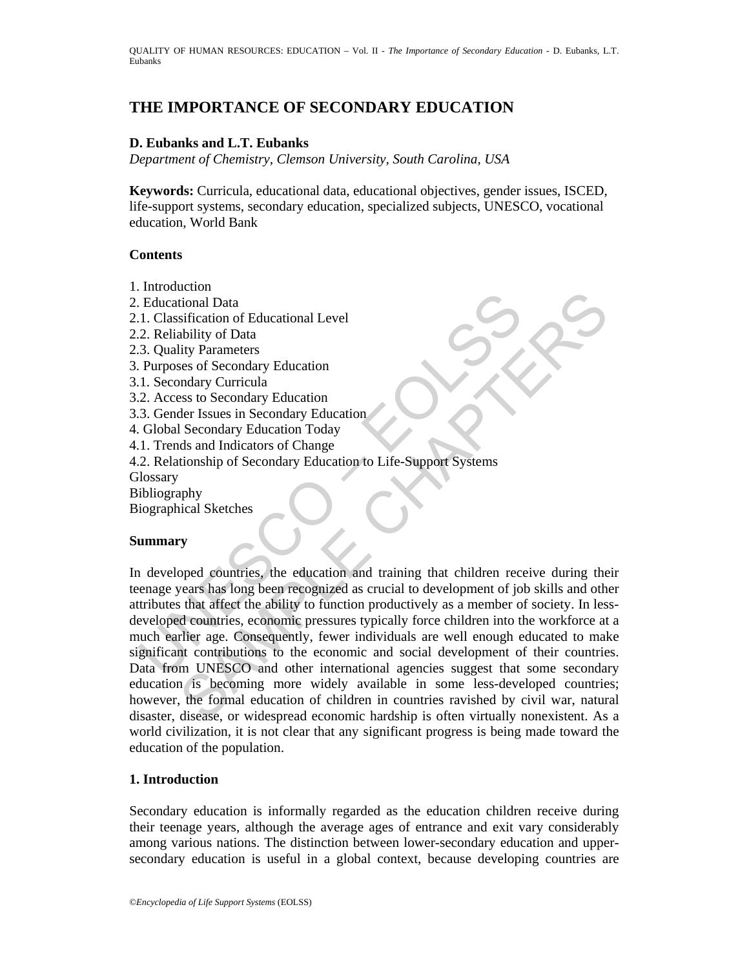# **THE IMPORTANCE OF SECONDARY EDUCATION**

### **D. Eubanks and L.T. Eubanks**

*Department of Chemistry, Clemson University, South Carolina, USA* 

**Keywords:** Curricula, educational data, educational objectives, gender issues, ISCED, life-support systems, secondary education, specialized subjects, UNESCO, vocational education, World Bank

### **Contents**

- 1. Introduction
- 2. Educational Data
- 2.1. Classification of Educational Level
- 2.2. Reliability of Data
- 2.3. Quality Parameters
- 3. Purposes of Secondary Education
- 3.1. Secondary Curricula
- 3.2. Access to Secondary Education
- 3.3. Gender Issues in Secondary Education
- 4. Global Secondary Education Today
- 4.1. Trends and Indicators of Change
- 4.2. Relationship of Secondary Education to Life-Support Systems

**Glossary** 

Bibliography

Biographical Sketches

#### **Summary**

Educational Data<br>
1. Classification of Educational Level<br>
2. Reliability of Data<br>
2. Reliability Parameters<br>
3. Quality Parameters<br>
2. Access to Secondary Education<br>
1. Secondary Curricula<br>
2. Access to Secondary Education Example I<br>
ional Data<br>
stification of Educational Level<br>
ability Parameters<br>
ses of Secondary Education<br>
moles and Indicators of Change<br>
discusses in Secondary Education<br>
Secondary Education<br>
Secondary Education<br>
Secondary In developed countries, the education and training that children receive during their teenage years has long been recognized as crucial to development of job skills and other attributes that affect the ability to function productively as a member of society. In lessdeveloped countries, economic pressures typically force children into the workforce at a much earlier age. Consequently, fewer individuals are well enough educated to make significant contributions to the economic and social development of their countries. Data from UNESCO and other international agencies suggest that some secondary education is becoming more widely available in some less-developed countries; however, the formal education of children in countries ravished by civil war, natural disaster, disease, or widespread economic hardship is often virtually nonexistent. As a world civilization, it is not clear that any significant progress is being made toward the education of the population.

#### **1. Introduction**

Secondary education is informally regarded as the education children receive during their teenage years, although the average ages of entrance and exit vary considerably among various nations. The distinction between lower-secondary education and uppersecondary education is useful in a global context, because developing countries are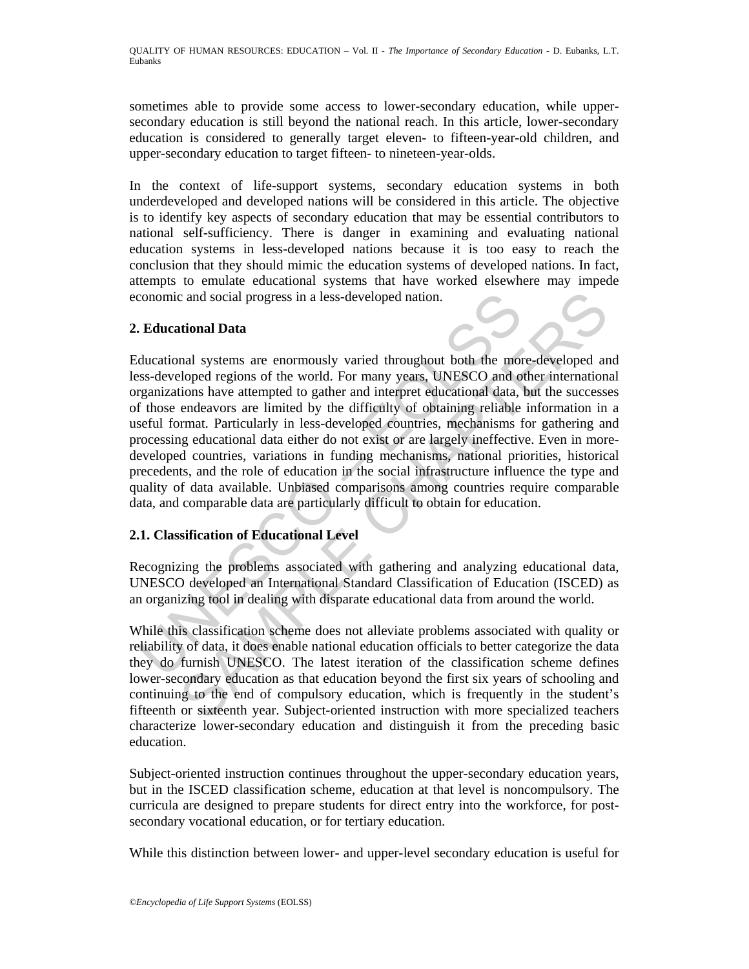sometimes able to provide some access to lower-secondary education, while uppersecondary education is still beyond the national reach. In this article, lower-secondary education is considered to generally target eleven- to fifteen-year-old children, and upper-secondary education to target fifteen- to nineteen-year-olds.

In the context of life-support systems, secondary education systems in both underdeveloped and developed nations will be considered in this article. The objective is to identify key aspects of secondary education that may be essential contributors to national self-sufficiency. There is danger in examining and evaluating national education systems in less-developed nations because it is too easy to reach the conclusion that they should mimic the education systems of developed nations. In fact, attempts to emulate educational systems that have worked elsewhere may impede economic and social progress in a less-developed nation.

# **2. Educational Data**

conomic and social progress in a less-developed nation.<br> **Educational Data**<br>
ducational systems are enormously varied throughout both the morss-developed regions of the world. For many years, UNESCO and of those endeavors c and social progress in a less-developed nation.<br>
tional Data<br>
nal systems are enormously varied throughout both the more-developed an<br>
loloped regions of the world. For many years, UNESCO and other internations<br>
have att Educational systems are enormously varied throughout both the more-developed and less-developed regions of the world. For many years, UNESCO and other international organizations have attempted to gather and interpret educational data, but the successes of those endeavors are limited by the difficulty of obtaining reliable information in a useful format. Particularly in less-developed countries, mechanisms for gathering and processing educational data either do not exist or are largely ineffective. Even in moredeveloped countries, variations in funding mechanisms, national priorities, historical precedents, and the role of education in the social infrastructure influence the type and quality of data available. Unbiased comparisons among countries require comparable data, and comparable data are particularly difficult to obtain for education.

# **2.1. Classification of Educational Level**

Recognizing the problems associated with gathering and analyzing educational data, UNESCO developed an International Standard Classification of Education (ISCED) as an organizing tool in dealing with disparate educational data from around the world.

While this classification scheme does not alleviate problems associated with quality or reliability of data, it does enable national education officials to better categorize the data they do furnish UNESCO. The latest iteration of the classification scheme defines lower-secondary education as that education beyond the first six years of schooling and continuing to the end of compulsory education, which is frequently in the student's fifteenth or sixteenth year. Subject-oriented instruction with more specialized teachers characterize lower-secondary education and distinguish it from the preceding basic education.

Subject-oriented instruction continues throughout the upper-secondary education years, but in the ISCED classification scheme, education at that level is noncompulsory. The curricula are designed to prepare students for direct entry into the workforce, for postsecondary vocational education, or for tertiary education.

While this distinction between lower- and upper-level secondary education is useful for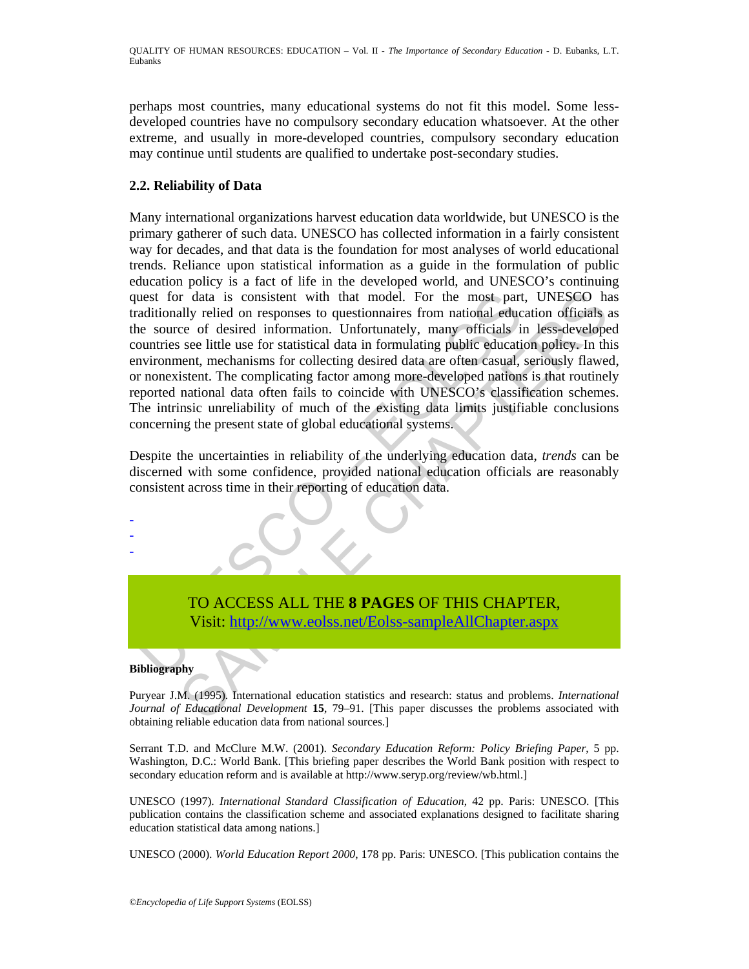perhaps most countries, many educational systems do not fit this model. Some lessdeveloped countries have no compulsory secondary education whatsoever. At the other extreme, and usually in more-developed countries, compulsory secondary education may continue until students are qualified to undertake post-secondary studies.

# **2.2. Reliability of Data**

the most part of the most part of the most part and<br>ditionally relied on responses to questionnaires from national eductional<br>se source of desired information. Unfortunately, many officials in<br>buttries see little use for s r data is consistent with that model. For the most part, UNESCO hally relied on responses to questionnaires from national education officials in less-developes see little use for statistical data in formulating public educ Many international organizations harvest education data worldwide, but UNESCO is the primary gatherer of such data. UNESCO has collected information in a fairly consistent way for decades, and that data is the foundation for most analyses of world educational trends. Reliance upon statistical information as a guide in the formulation of public education policy is a fact of life in the developed world, and UNESCO's continuing quest for data is consistent with that model. For the most part, UNESCO has traditionally relied on responses to questionnaires from national education officials as the source of desired information. Unfortunately, many officials in less-developed countries see little use for statistical data in formulating public education policy. In this environment, mechanisms for collecting desired data are often casual, seriously flawed, or nonexistent. The complicating factor among more-developed nations is that routinely reported national data often fails to coincide with UNESCO's classification schemes. The intrinsic unreliability of much of the existing data limits justifiable conclusions concerning the present state of global educational systems.

Despite the uncertainties in reliability of the underlying education data, *trends* can be discerned with some confidence, provided national education officials are reasonably consistent across time in their reporting of education data.

> TO ACCESS ALL THE **8 PAGES** OF THIS CHAPTER, Visit: http://www.eolss.net/Eolss-sampleAllChapter.aspx

#### **Bibliography**

- - -

Puryear J.M. (1995). International education statistics and research: status and problems. *International Journal of Educational Development* **15**, 79–91. [This paper discusses the problems associated with obtaining reliable education data from national sources.]

Serrant T.D. and McClure M.W. (2001). *Secondary Education Reform: Policy Briefing Paper*, 5 pp. Washington, D.C.: World Bank. [This briefing paper describes the World Bank position with respect to secondary education reform and is available at http://www.seryp.org/review/wb.html.]

UNESCO (1997). *International Standard Classification of Education*, 42 pp. Paris: UNESCO. [This publication contains the classification scheme and associated explanations designed to facilitate sharing education statistical data among nations.]

UNESCO (2000). *World Education Report 2000*, 178 pp. Paris: UNESCO. [This publication contains the